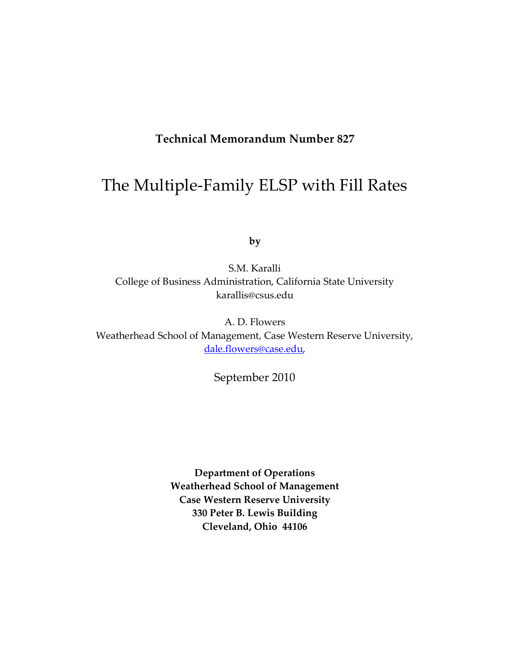# **Technical Memorandum Number 827**

# The Multiple-Family ELSP with Fill Rates

**by**

S.M. Karalli College of Business Administration, California State University karallis@csus.edu

A. D. Flowers Weatherhead School of Management, Case Western Reserve University, [dale.flowers@case.edu,](mailto:dale.flowers@case.edu)

September 2010

**Department of Operations Weatherhead School of Management Case Western Reserve University 330 Peter B. Lewis Building Cleveland, Ohio 44106**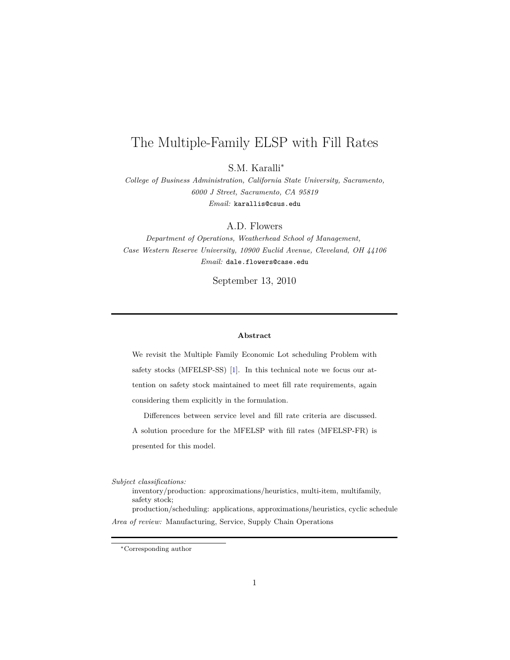# The Multiple-Family ELSP with Fill Rates

S.M. Karalli*<sup>∗</sup>*

*College of Business Administration, California State University, Sacramento, 6000 J Street, Sacramento, CA 95819 Email:* karallis@csus.edu

A.D. Flowers

*Department of Operations, Weatherhead School of Management, Case Western Reserve University, 10900 Euclid Avenue, Cleveland, OH 44106 Email:* dale.flowers@case.edu

September 13, 2010

#### **Abstract**

We revisit the Multiple Family Economic Lot scheduling Problem with safety stocks (MFELSP-SS) [\[1\]](#page-20-0). In this technical note we focus our attention on safety stock maintained to meet fill rate requirements, again considering them explicitly in the formulation.

Differences between service level and fill rate criteria are discussed. A solution procedure for the MFELSP with fill rates (MFELSP-FR) is presented for this model.

*Subject classifications:*

inventory/production: approximations/heuristics, multi-item, multifamily, safety stock;

production/scheduling: applications, approximations/heuristics, cyclic schedule *Area of review:* Manufacturing, Service, Supply Chain Operations

*<sup>∗</sup>*Corresponding author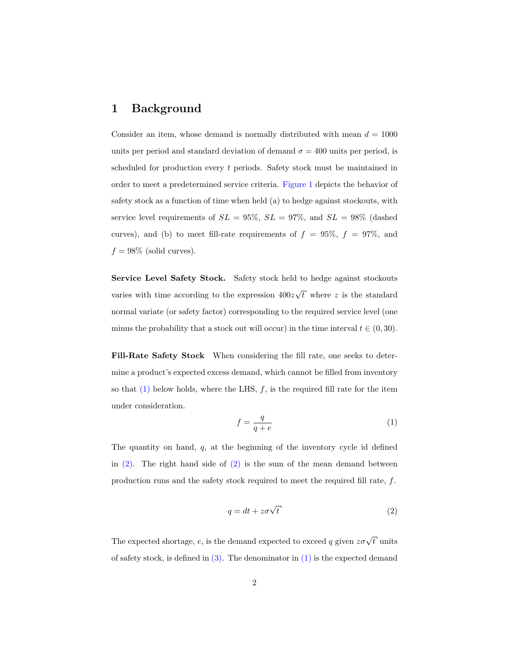# **1 Background**

Consider an item, whose demand is normally distributed with mean  $d = 1000$ units per period and standard deviation of demand  $\sigma = 400$  units per period, is scheduled for production every *t* periods. Safety stock must be maintained in order to meet a predetermined service criteria. [Figure 1](#page-5-0) depicts the behavior of safety stock as a function of time when held (a) to hedge against stockouts, with service level requirements of  $SL = 95\%$ ,  $SL = 97\%$ , and  $SL = 98\%$  (dashed curves), and (b) to meet fill-rate requirements of  $f = 95\%$ ,  $f = 97\%$ , and  $f = 98\%$  (solid curves).

**Service Level Safety Stock.** Safety stock held to hedge against stockouts varies with time according to the expression 400*z √ t* where *z* is the standard normal variate (or safety factor) corresponding to the required service level (one minus the probability that a stock out will occur) in the time interval  $t \in (0, 30)$ .

**Fill-Rate Safety Stock** When considering the fill rate, one seeks to determine a product's expected excess demand, which cannot be filled from inventory so that  $(1)$  below holds, where the LHS,  $f$ , is the required fill rate for the item under consideration.

<span id="page-2-0"></span>
$$
f = \frac{q}{q + e} \tag{1}
$$

The quantity on hand, *q*, at the beginning of the inventory cycle id defined in  $(2)$ . The right hand side of  $(2)$  is the sum of the mean demand between production runs and the safety stock required to meet the required fill rate, *f*.

<span id="page-2-1"></span>
$$
q = dt + z\sigma\sqrt{t}
$$
 (2)

The expected shortage, *e*, is the demand expected to exceed *q* given  $z\sigma\sqrt{t}$  units of safety stock, is defined in  $(3)$ . The denominator in  $(1)$  is the expected demand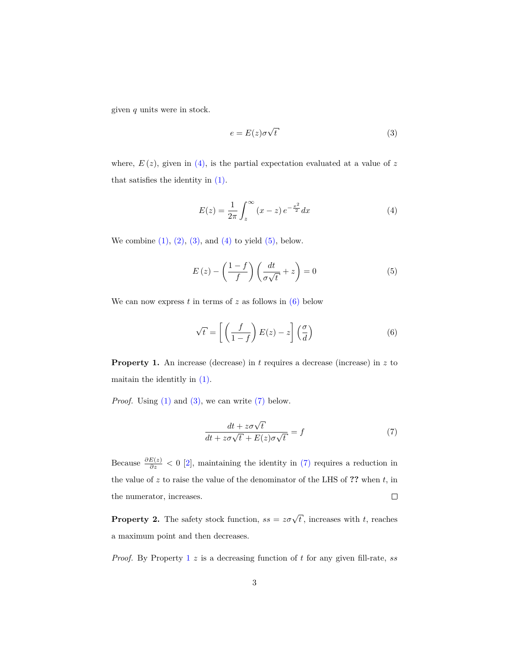given *q* units were in stock.

<span id="page-3-0"></span>
$$
e = E(z)\sigma\sqrt{t}
$$
 (3)

where,  $E(z)$ , given in  $(4)$ , is the partial expectation evaluated at a value of z that satisfies the identity in [\(1\).](#page-2-0)

<span id="page-3-1"></span>
$$
E(z) = \frac{1}{2\pi} \int_{z}^{\infty} (x - z) e^{-\frac{x^2}{2}} dx
$$
 (4)

We combine  $(1)$ ,  $(2)$ ,  $(3)$ , and  $(4)$  to yield  $(5)$ , below.

<span id="page-3-2"></span>
$$
E(z) - \left(\frac{1-f}{f}\right)\left(\frac{dt}{\sigma\sqrt{t}} + z\right) = 0\tag{5}
$$

We can now express  $t$  in terms of  $z$  as follows in  $(6)$  below

<span id="page-3-3"></span>
$$
\sqrt{t} = \left[ \left( \frac{f}{1-f} \right) E(z) - z \right] \left( \frac{\sigma}{d} \right) \tag{6}
$$

<span id="page-3-5"></span>**Property 1.** An increase (decrease) in *t* requires a decrease (increase) in *z* to maitain the identitly in [\(1\).](#page-2-0)

*Proof.* Using [\(1\)](#page-2-0) and [\(3\),](#page-3-0) we can write [\(7\)](#page-3-4) below.

<span id="page-3-4"></span>
$$
\frac{dt + z\sigma\sqrt{t}}{dt + z\sigma\sqrt{t} + E(z)\sigma\sqrt{t}} = f \tag{7}
$$

Because  $\frac{\partial E(z)}{\partial z}$  < 0 [\[2\]](#page-20-1), maintaining the identity in [\(7\)](#page-3-4) requires a reduction in the value of *z* to raise the value of the denominator of the LHS of **??** when *t*, in  $\Box$ the numerator, increases.

**Property 2.** The safety stock function,  $ss = z\sigma\sqrt{t}$ , increases with *t*, reaches a maximum point and then decreases.

*Proof.* By Property [1](#page-3-5) *z* is a decreasing function of *t* for any given fill-rate, *ss*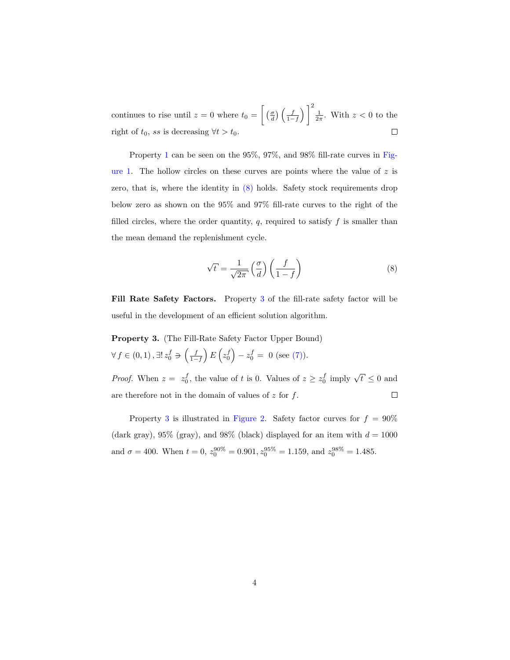continues to rise until  $z = 0$  where  $t_0 = \left[ \left( \frac{\sigma}{d} \right) \left( \frac{f}{1-f} \right) \right] \frac{1}{2\pi}$ . With  $z < 0$  to the right of  $t_0$ , *ss* is decreasing  $\forall t > t_0$ .  $\Box$ 

Property [1](#page-3-5) can be seen on the 95%, 97%, and 98% fill-rate curves in [Fig](#page-5-0)[ure 1.](#page-5-0) The hollow circles on these curves are points where the value of *z* is zero, that is, where the identity in  $(8)$  holds. Safety stock requirements drop below zero as shown on the 95% and 97% fill-rate curves to the right of the filled circles, where the order quantity,  $q$ , required to satisfy  $f$  is smaller than the mean demand the replenishment cycle.

<span id="page-4-0"></span>
$$
\sqrt{t} = \frac{1}{\sqrt{2\pi}} \left(\frac{\sigma}{d}\right) \left(\frac{f}{1-f}\right) \tag{8}
$$

**Fill Rate Safety Factors.** Property [3](#page-4-1) of the fill-rate safety factor will be useful in the development of an efficient solution algorithm.

<span id="page-4-1"></span>**Property 3.** (The Fill-Rate Safety Factor Upper Bound) *∀ f* ∈ (0, 1),  $\exists! z_0^f \ni (z_0^f) - z_0^f = 0$  (see [\(7\)\)](#page-3-4).

*Proof.* When  $z = z_0^f$ , the value of *t* is 0. Values of  $z \geq z_0^f$  imply  $\sqrt{t} \leq 0$  and are therefore not in the domain of values of *z* for *f*.  $\Box$ 

Property [3](#page-4-1) is illustrated in [Figure 2.](#page-6-0) Safety factor curves for  $f = 90\%$ (dark gray), 95% (gray), and 98% (black) displayed for an item with  $d = 1000$ and  $\sigma = 400$ . When  $t = 0$ ,  $z_0^{90\%} = 0.901$ ,  $z_0^{95\%} = 1.159$ , and  $z_0^{98\%} = 1.485$ .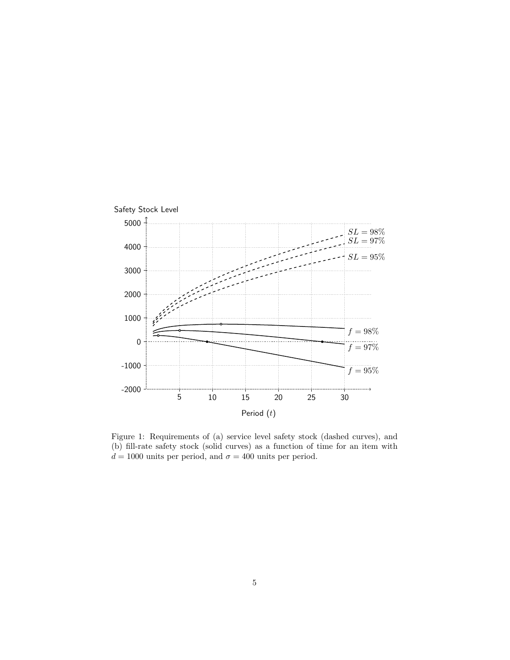<span id="page-5-0"></span>

Figure 1: Requirements of (a) service level safety stock (dashed curves), and (b) fill-rate safety stock (solid curves) as a function of time for an item with  $d = 1000$  units per period, and  $\sigma = 400$  units per period.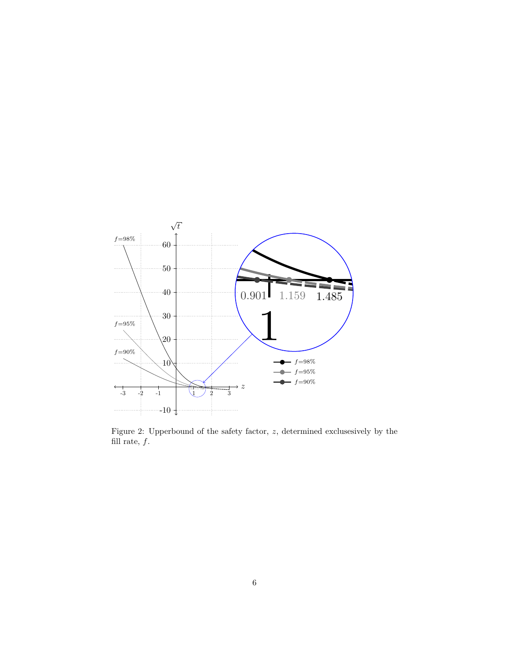

<span id="page-6-0"></span>Figure 2: Upperbound of the safety factor, *z*, determined exclusesively by the fill rate,  $f$ .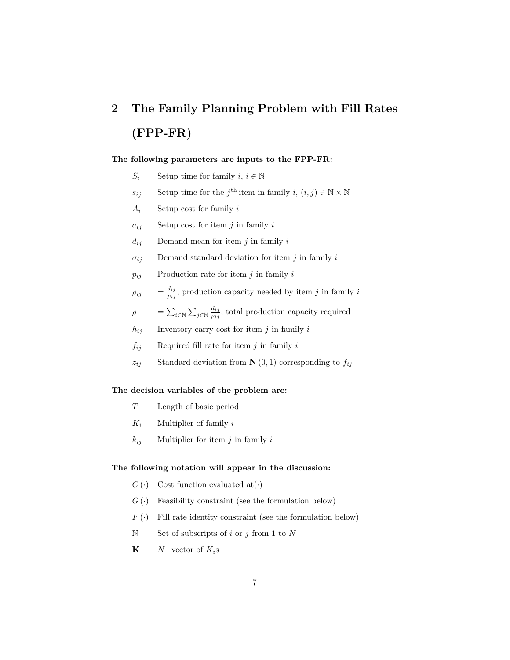# **2 The Family Planning Problem with Fill Rates (FPP-FR)**

### **The following parameters are inputs to the FPP-FR:**

- *S*<sup>*i*</sup> Setup time for family *i*,  $i \in \mathbb{N}$
- *s*<sub>*ij*</sub> Setup time for the *j*<sup>th</sup> item in family *i*,  $(i, j) \in \mathbb{N} \times \mathbb{N}$
- *A<sup>i</sup>* Setup cost for family *i*
- $a_{ij}$  Setup cost for item *j* in family *i*
- *dij* Demand mean for item *j* in family *i*
- *σij* Demand standard deviation for item *j* in family *i*
- $p_{ij}$  Production rate for item *j* in family *i*
- $\rho_{ij}$  $d_{ij}$  $\frac{a_{ij}}{p_{ij}}$ , production capacity needed by item *j* in family *i*
- $\rho$  =  $\sum_{i \in \mathbb{N}} \sum_{j \in \mathbb{N}} \frac{d_{ij}}{p_{ij}}$  $\frac{a_{ij}}{p_{ij}}$ , total production capacity required
- $h_{ij}$  Inventory carry cost for item *j* in family *i*
- $f_{ij}$  Required fill rate for item *j* in family *i*
- *z*<sub>*ij*</sub> Standard deviation from **N** $(0, 1)$  corresponding to  $f_{ij}$

### **The decision variables of the problem are:**

- *T* Length of basic period
- *K<sup>i</sup>* Multiplier of family *i*
- $k_{ij}$  Multiplier for item *j* in family *i*

#### **The following notation will appear in the discussion:**

- $C(\cdot)$  Cost function evaluated at (*·*)
- $G(\cdot)$  Feasibility constraint (see the formulation below)
- $F(\cdot)$  Fill rate identity constraint (see the formulation below)
- N Set of subscripts of *i* or *j* from 1 to *N*
- **K**  $N$ *−*vector of  $K_i$ s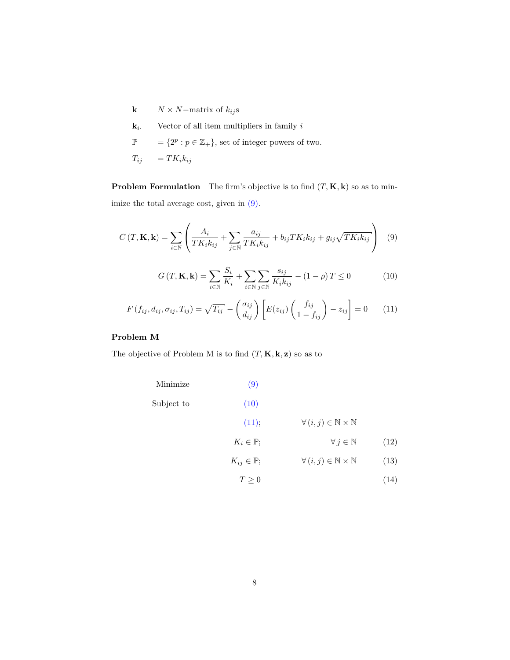- **k** *N* × *N−*matrix of  $k_{ij}$ s
- $k_i$ . Vector of all item multipliers in family *i*
- $\mathbb{P}$  = { $2^p : p \in \mathbb{Z}_+$ }, set of integer powers of two.

$$
T_{ij} = T K_i k_{ij}
$$

**Problem Formulation** The firm's objective is to find  $(T, K, k)$  so as to minimize the total average cost, given in [\(9\).](#page-8-0)

<span id="page-8-0"></span>
$$
C(T, \mathbf{K}, \mathbf{k}) = \sum_{i \in \mathbb{N}} \left( \frac{A_i}{TK_i k_{ij}} + \sum_{j \in \mathbb{N}} \frac{a_{ij}}{TK_i k_{ij}} + b_{ij} TK_i k_{ij} + g_{ij} \sqrt{TK_i k_{ij}} \right) \tag{9}
$$

<span id="page-8-1"></span>
$$
G(T, \mathbf{K}, \mathbf{k}) = \sum_{i \in \mathbb{N}} \frac{S_i}{K_i} + \sum_{i \in \mathbb{N}} \sum_{j \in \mathbb{N}} \frac{s_{ij}}{K_i k_{ij}} - (1 - \rho) T \le 0
$$
 (10)

<span id="page-8-2"></span>
$$
F(f_{ij}, d_{ij}, \sigma_{ij}, T_{ij}) = \sqrt{T_{ij}} - \left(\frac{\sigma_{ij}}{d_{ij}}\right) \left[E(z_{ij}) \left(\frac{f_{ij}}{1 - f_{ij}}\right) - z_{ij}\right] = 0 \quad (11)
$$

## **Problem M**

The objective of Problem M is to find  $(T, \mathbf{K}, \mathbf{k}, \mathbf{z})$  so as to

<span id="page-8-5"></span><span id="page-8-4"></span><span id="page-8-3"></span>

| Minimize   | (9)                      |                                                   |      |
|------------|--------------------------|---------------------------------------------------|------|
| Subject to | (10)                     |                                                   |      |
|            | (11);                    | $\forall (i, j) \in \mathbb{N} \times \mathbb{N}$ |      |
|            | $K_i \in \mathbb{P};$    | $\forall j \in \mathbb{N}$                        | (12) |
|            | $K_{ij} \in \mathbb{P};$ | $\forall (i, j) \in \mathbb{N} \times \mathbb{N}$ | (13) |
|            | $T\geq 0$                |                                                   | (14) |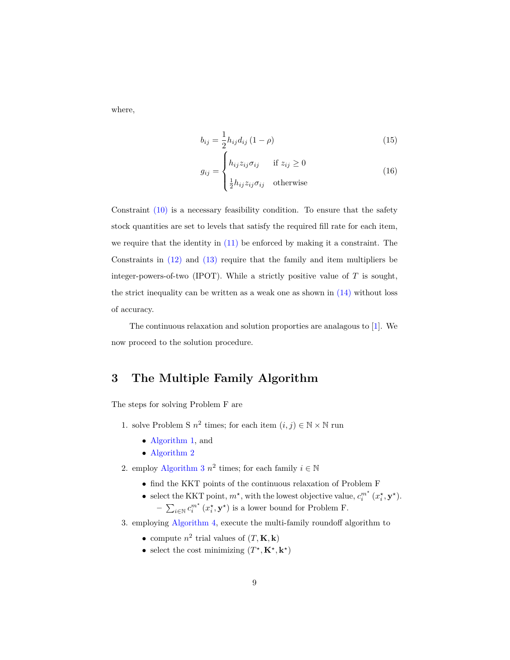where,

$$
b_{ij} = \frac{1}{2} h_{ij} d_{ij} (1 - \rho)
$$
 (15)

<span id="page-9-0"></span>
$$
g_{ij} = \begin{cases} h_{ij} z_{ij} \sigma_{ij} & \text{if } z_{ij} \ge 0\\ \frac{1}{2} h_{ij} z_{ij} \sigma_{ij} & \text{otherwise} \end{cases}
$$
(16)

Constraint  $(10)$  is a necessary feasibility condition. To ensure that the safety stock quantities are set to levels that satisfy the required fill rate for each item, we require that the identity in  $(11)$  be enforced by making it a constraint. The Constraints in  $(12)$  and  $(13)$  require that the family and item multipliers be integer-powers-of-two (IPOT). While a strictly positive value of *T* is sought, the strict inequality can be written as a weak one as shown in  $(14)$  without loss of accuracy.

The continuous relaxation and solution proporties are analagous to [\[1\]](#page-20-0). We now proceed to the solution procedure.

# <span id="page-9-1"></span>**3 The Multiple Family Algorithm**

The steps for solving Problem F are

- 1. solve Problem S  $n^2$  times; for each item  $(i, j) \in \mathbb{N} \times \mathbb{N}$  run
	- *•* [Algorithm 1,](#page-11-0) and
	- *•* [Algorithm 2](#page-12-0)
- 2. employ [Algorithm 3](#page-13-0)  $n^2$  times; for each family  $i \in \mathbb{N}$ 
	- *•* find the KKT points of the continuous relaxation of Problem F
	- select the KKT point,  $m^*$ , with the lowest objective value,  $c_i^{m^*}$  ( $x_i^*$ ,  $\mathbf{y}^*$ ). −  $\sum_{i \in \mathbb{N}} c_i^{m^*} (x_i^*, \mathbf{y}^*)$  is a lower bound for Problem F.
- 3. employing [Algorithm 4,](#page-14-0) execute the multi-family roundoff algorithm to
	- compute  $n^2$  trial values of  $(T, \mathbf{K}, \mathbf{k})$
	- select the cost minimizing  $(T^*, \mathbf{K}^*, \mathbf{k}^*)$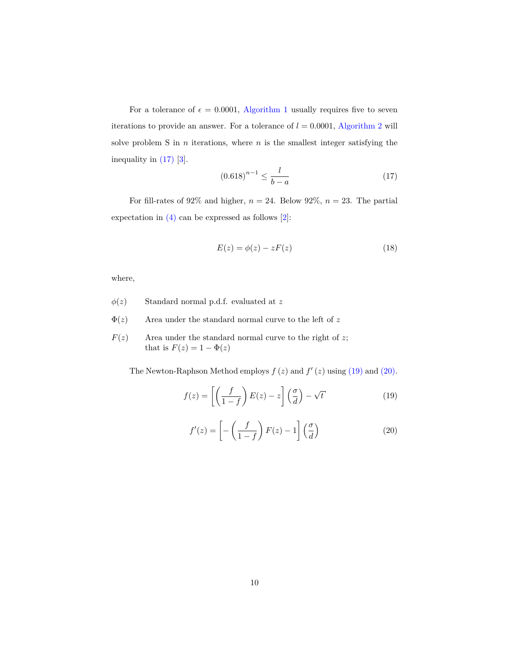For a tolerance of  $\epsilon = 0.0001$ , [Algorithm 1](#page-11-0) usually requires five to seven iterations to provide an answer. For a tolerance of  $l = 0.0001$ , [Algorithm 2](#page-12-0) will solve problem S in *n* iterations, where *n* is the smallest integer satisfying the inequality in [\(17\)](#page-10-0) [\[3\]](#page-20-2).

<span id="page-10-0"></span>
$$
(0.618)^{n-1} \le \frac{l}{b-a} \tag{17}
$$

For fill-rates of 92% and higher,  $n = 24$ . Below 92%,  $n = 23$ . The partial expectation in  $(4)$  can be expressed as follows  $[2]$ :

$$
E(z) = \phi(z) - zF(z)
$$
\n(18)

where,

- $\phi(z)$  Standard normal p.d.f. evaluated at *z*
- $\Phi(z)$  Area under the standard normal curve to the left of  $z$
- $F(z)$  Area under the standard normal curve to the right of *z*; that is  $F(z) = 1 - \Phi(z)$

The Newton-Raphson Method employs  $f(z)$  and  $f'(z)$  using [\(19\)](#page-10-1) and [\(20\).](#page-10-2)

<span id="page-10-1"></span>
$$
f(z) = \left[ \left( \frac{f}{1-f} \right) E(z) - z \right] \left( \frac{\sigma}{d} \right) - \sqrt{t}
$$
 (19)

<span id="page-10-2"></span>
$$
f'(z) = \left[ -\left(\frac{f}{1-f}\right)F(z) - 1 \right] \left(\frac{\sigma}{d}\right)
$$
 (20)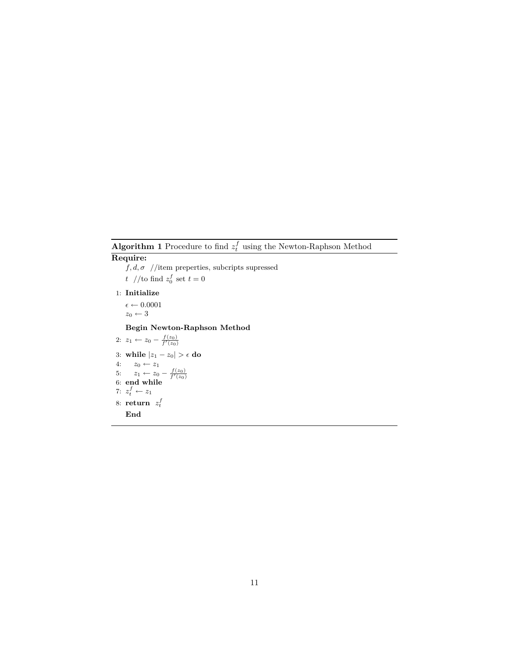<span id="page-11-0"></span>**Algorithm 1** Procedure to find  $z_t^f$  using the Newton-Raphson Method

## **Require:**

 $f,d,\sigma$  //item preperties, subcripts supressed *t* //to find  $z_0^f$  set  $t = 0$ 1: **Initialize**  $\epsilon \leftarrow 0.0001$  $z_0 \leftarrow 3$ **Begin Newton-Raphson Method** 2:  $z_1 \leftarrow z_0 - \frac{f(z_0)}{f'(z_0)}$ 3: **while**  $|z_1 - z_0| > \epsilon$  **do** 4:  $z_0$  ←  $z_1$ 5:  $z_1 \leftarrow z_0 - \frac{f(z_0)}{f'(z_0)}$ <br>6: **end while** 7:  $z_t^f \leftarrow z_1$ 8: **return**  $z_t^f$ **End**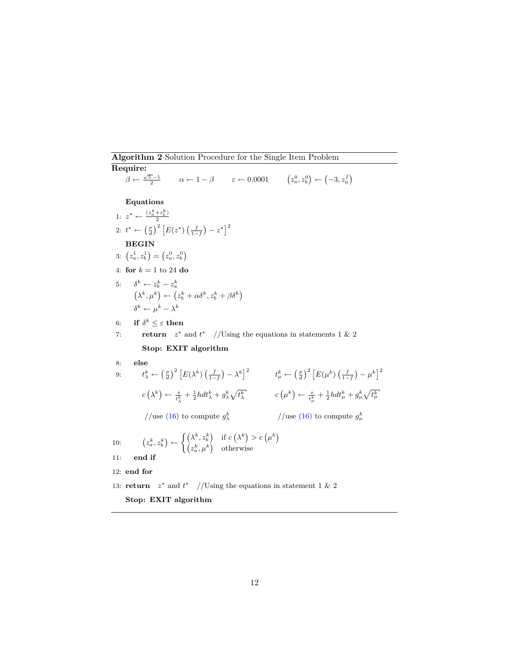<span id="page-12-0"></span>**Algorithm 2** Solution Procedure for the Single Item Problem

**Require:** *β* ←  $\frac{\sqrt{5}-1}{2}$  *α* ← 1 − *β ε* ← 0*.*0001  $(z_a^0, z_b^0)$  ←  $(-3, z_0^f)$ **Equations** 1:  $z^* \leftarrow \frac{(z_a^k + z_b^k)}{2}$ 2 2:  $t^* \leftarrow \left(\frac{\sigma}{d}\right)^2 \left[E(z^*)\left(\frac{f}{1-f}\right)-z^*\right]^2$ **BEGIN** 3:  $(z_a^1, z_b^1) = (z_a^0, z_b^0)$ 4: **for** *k* = 1 to 24 **do** 5:  $\delta^k \leftarrow z_b^k - z_a^k$ *a*  $(\lambda^k, \mu^k) \leftarrow (z_b^k + \alpha \delta^k, z_b^k + \beta \delta^k)$  $\delta^k \leftarrow \mu^k - \lambda^k$  $6: \quad \textbf{if} \,\, \delta^k \leq \varepsilon \,\, \textbf{then}$ 7: **return**  $z^*$  and  $t^*$  //Using the equations in statements 1 & 2 **Stop: EXIT algorithm** 8: **else**  $\begin{aligned} 9 \colon \qquad t_\lambda^k \leftarrow \left( \frac{\sigma}{d} \right)^2 \left[ E(\lambda^k) \left( \frac{f}{1-f} \right) - \lambda^k \right]^2 \qquad \qquad t_\mu^k \leftarrow \left( \frac{\sigma}{d} \right)^2 \left[ E(\mu^k) \left( \frac{f}{1-f} \right) - \mu^k \right]^2 \end{aligned}$  $c\left(\lambda^{k}\right)\leftarrow\frac{s}{t_{\lambda}^{k}}+\frac{1}{2}hdt_{\lambda}^{k}+g_{\lambda}^{k}\sqrt{t_{\lambda}^{k}} \hspace{1.5cm} c\left(\mu^{k}\right)\leftarrow\frac{s}{t_{\mu}^{k}}+\frac{1}{2}hdt_{\mu}^{k}+g_{\mu}^{k}\sqrt{t_{\mu}^{k}}$ //use [\(16\)](#page-9-0) to compute  $g_{\lambda}^{k}$ *λ* //use [\(16\)](#page-9-0) to compute  $g^k_\mu$ 10:  $z_a^k, z_b^k$   $\leftarrow \begin{cases} (\lambda^k, z_b^k) & \text{if } c(\lambda^k) > c(\mu^k) \\ (k, k) & \text{if } k \end{cases}$  $(z_a^k, \mu^k)$  otherwise 11: **end if** 12: **end for** 13: **return**  $z^*$  and  $t^*$  //Using the equations in statement 1 & 2

**Stop: EXIT algorithm**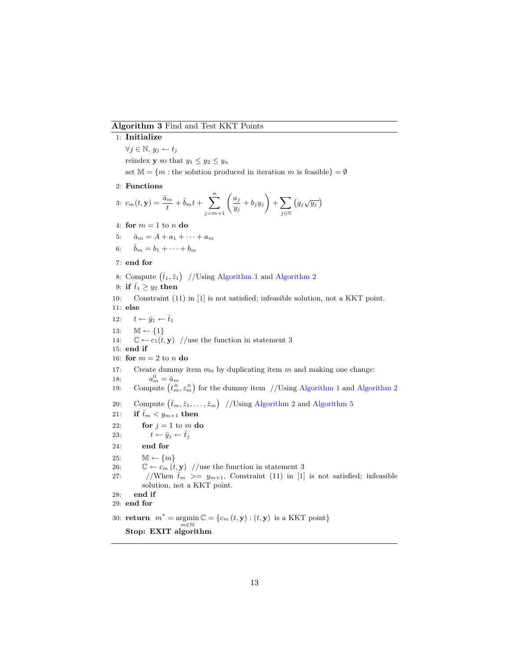### <span id="page-13-0"></span>**Algorithm 3** Find and Test KKT Points

## 1: **Initialize**

*∀j ∈* N*, y<sup>j</sup> ← t<sup>j</sup>*

reindex **y** so that  $y_1 \leq y_2 \leq y_n$ 

set  $M = \{m : \text{the solution produced in iteration } m \text{ is feasible}\} = \emptyset$ 

2: **Functions**

$$
3: c_m(t, \mathbf{y}) = \frac{\bar{a}_m}{t} + \bar{b}_m t + \sum_{j=m+1}^n \left( \frac{a_j}{y_j} + b_j y_j \right) + \sum_{j \in \mathbb{N}} \left( g_j \sqrt{y_j} \right)
$$

4: **for**  $m = 1$  to  $n$  **do** 

5:  $\bar{a}_m = A + a_1 + \cdots + a_m$ 

6:  $\bar{b}_m = b_1 + \cdots + b_m$ 

#### 7: **end for**

- 8: Compute  $(\bar{t}_1, \bar{z}_1)$  //Using [Algorithm 1](#page-11-0) and [Algorithm 2](#page-12-0)
- 9: **if**  $\bar{t}_1 \geq y_2$  **then**
- 10: Constraint (11) in [\[1\]](#page-20-0) is not satisfied; infeasible solution, not a KKT point.

11: **else**

- 12:  $t \leftarrow \bar{y}_1 \leftarrow \bar{t}_1$
- 13: M *← {*1*}*
- 14:  $\mathbb{C} \leftarrow c_1(t, \mathbf{y})$  //use the function in statement 3
- 15: **end if**
- 16: **for**  $m = 2$  to  $n$  **do**
- 17: Create dummy item  $m_0$  by duplicating item  $m$  and making one change:

18:  $a_m^0 = \bar{a}_m$ 

- 19: Compute  $(t_m^0, z_m^0)$  for the dummy item //Using [Algorithm 1](#page-11-0) and [Algorithm 2](#page-12-0)
- 20: Compute  $(\bar{t}_m, \bar{z}_1, \ldots, \bar{z}_m)$  //Using [Algorithm 2](#page-12-0) and [Algorithm 5](#page-15-0)
- 21: **if**  $\bar{t}_m < y_{m+1}$  then
- 22: **for**  $j = 1$  to  $m$  **do**
- 23:  $t \leftarrow \bar{y}_j \leftarrow \bar{t}_j$
- 24: **end for**
- 25:  $\mathbb{M} \leftarrow \{m\}$
- 26:  $\mathbb{C} \leftarrow c_m(t, \mathbf{y})$  //use the function in statement 3
- 27: //When  $\bar{t}_m$  >=  $y_{m+1}$ , Constraint (11) in [\[1\]](#page-20-0) is not satisfied; infeasible solution, not a KKT point.
- 28: **end if**
- 29: **end for**
- 30: **return**  $m^* = \argmin \mathbb{C} = \{c_m(t, \mathbf{y}) : (t, \mathbf{y}) \text{ is a KKT point}\}$ *m∈*M **Stop: EXIT algorithm**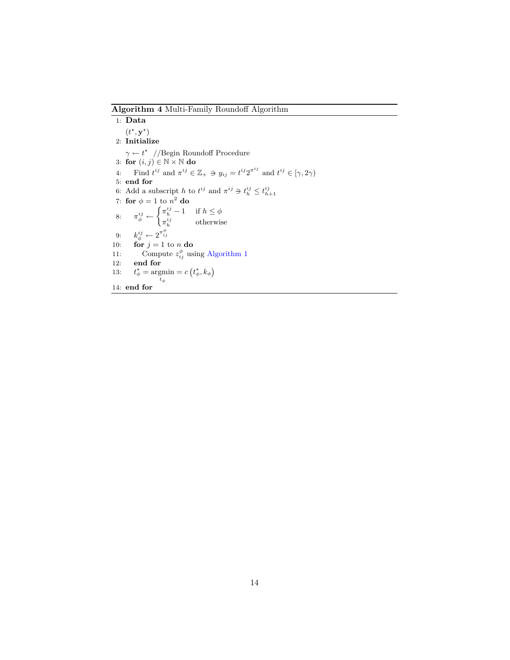<span id="page-14-0"></span>**Algorithm 4** Multi-Family Roundoff Algorithm

1: **Data**  $(t^{\star}, \mathbf{y}^{\star})$ 2: **Initialize** *γ* ← *t*<sup>\*</sup> //Begin Roundoff Procedure 3: **for** (*i, j*) *∈* N *×* N **do** 4: Find  $t^{ij}$  and  $\pi^{ij} \in \mathbb{Z}_+ \ni y_{ij} = t^{ij} 2^{\pi^{ij}}$  and  $t^{ij} \in [\gamma, 2\gamma)$ 5: **end for** 6: Add a subscript *h* to  $t^{ij}$  and  $\pi^{ij} \ni t^{ij}_h \leq t^{ij}_{h+1}$ 7: **for**  $\phi = 1$  to  $n^2$  **do** 8:  $\pi_{\phi}^{ij} \leftarrow \begin{cases} \pi_{h}^{ij} - 1 & \text{if } h \leq \phi \\ \pi_{i}^{ij} & \text{otherwise} \end{cases}$  $\pi_h^{ij}$  otherwise 9:  $k_{\phi}^{ij} \leftarrow 2^{\pi_{ij}^{\phi}}$ 10: **for**  $j = 1$  to *n* **do** 11: Compute  $z_{ij}^{\phi}$  using [Algorithm 1](#page-11-0) 12: **end for** 13: *t*  $\frac{\star}{\phi} = \operatorname*{argmin}_{t_{\phi}}$  $= c(t^*_{\phi}, k_{\phi})$ 14: **end for**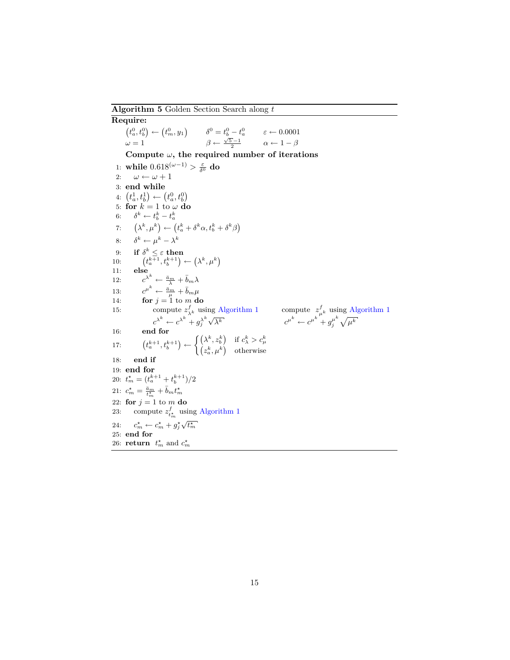<span id="page-15-0"></span>**Algorithm 5** Golden Section Search along *t*

**Require:**  $(t_a^0, t_b^0) \leftarrow (t_m^0, y_1)$  $\delta^0 = t_b^0 - t_a^0$  $\varepsilon \leftarrow 0.0001$  $\omega = 1$ *√*<sub>5</sub> −1</sub>  $\alpha \leftarrow 1 - \beta$ **Compute** *ω***, the required number of iterations** 1: while  $0.618^{(\omega-1)} > \frac{\varepsilon}{\delta^0}$  do 2:  $\omega \leftarrow \omega + 1$ 3: **end while**  $4: (t_a^1, t_b^1) \leftarrow (t_a^0, t_b^0)$ 5: **for**  $k = 1$  to  $\omega$  **do** 6:  $\delta^k \leftarrow t_b^k - t_a^k$ 7:  $\left(\lambda^k, \mu^k\right) \leftarrow \left(t_a^k + \delta^k \alpha, t_b^k + \delta^k \beta\right)$ 8:  $\delta^k \leftarrow \mu^k - \lambda^k$ 9: **if**  $\delta^k \leq \varepsilon$  **then** 10:  $t_a^{k+1}, t_b^{k+1}$   $\left(\lambda^k, \mu^k\right)$ 11: **else** 12:  $c^{\lambda^k} \leftarrow \frac{\bar{a}_m}{\lambda} + \bar{b}_m \lambda$ 13:  $c^{\mu^k} \leftarrow \frac{\bar{a}_m}{\mu} + \bar{b}_m \mu$ 14: **for**  $j = 1$  to  $m$  **do** 15: compute  $z_{\lambda^k}^f$  using [Algorithm 1](#page-11-0) compute z  $\mu^k \leftarrow e^{\mu^k} + g_i^{\mu^k} \sqrt{\mu^k}$ <br> *p*  $c^{\lambda^k} \leftarrow c^{\lambda^k} + g_j^{\lambda^k}$  $\sqrt{\lambda^k}$  *c*  $j^{\mu^k} \sqrt{\mu^k}$ 16: **end for** 17:  $\left(t_a^{k+1}, t_b^{k+1}\right) \leftarrow \begin{cases} \left(\lambda^k, z_b^k\right) & \text{if } c_\lambda^k > c_\mu^k\ \left(z_a^k, \mu^k\right) & \text{otherwise} \end{cases}$ 18: **end if** 19: **end for** 20:  $t_m^* = (t_a^{k+1} + t_b^{k+1})/2$ 21:  $c_m^* = \frac{\bar{a}_m}{t_m^*} + \bar{b}_m t_m^*$ 22: **for**  $j = 1$  to  $m$  **do** 23: compute  $z_{t_m^*}^f$  using [Algorithm 1](#page-11-0) 24:  $c_m^* \leftarrow c_m^* + g_j^*$ √ $t_m^*$ 25: **end for** 26: **return**  $t_m^*$  and  $c_m^*$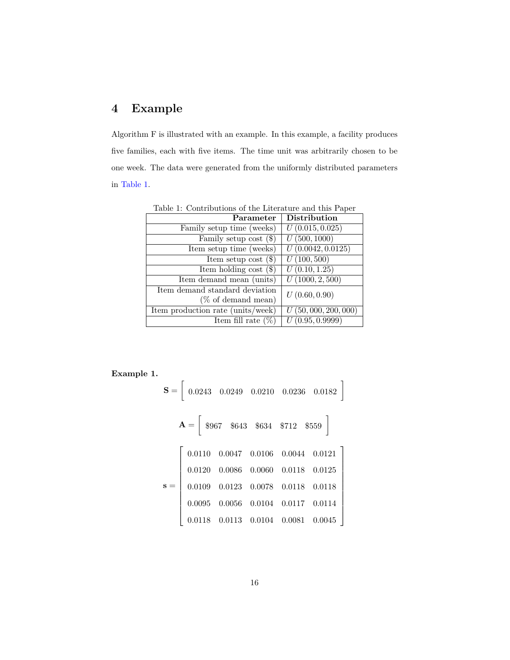# **4 Example**

Algorithm F is illustrated with an example. In this example, a facility produces five families, each with five items. The time unit was arbitrarily chosen to be one week. The data were generated from the uniformly distributed parameters in [Table 1.](#page-16-0)

<span id="page-16-0"></span>

| Parameter                         | <b>Distribution</b>            |
|-----------------------------------|--------------------------------|
| Family setup time (weeks)         | U(0.015, 0.025)                |
| Family setup cost $(\$)$          | $\overline{U(500,1000)}$       |
| Item setup time (weeks)           | $\overline{U(0.0042, 0.0125)}$ |
| Item setup cost $(\$)$            | $\overline{U(100, 500)}$       |
| Item holding cost $(\$)$          | $\overline{U(0.10, 1.25)}$     |
| Item demand mean (units)          | U(1000, 2, 500)                |
| Item demand standard deviation    | U(0.60, 0.90)                  |
| $(\%$ of demand mean)             |                                |
| Item production rate (units/week) | U(50,000,200,000)              |
| Item fill rate $(\%)$             | U(0.95, 0.9999)                |

Table 1: Contributions of the Literature and this Paper

**Example 1.**

$$
\mathbf{S} = \begin{bmatrix} 0.0243 & 0.0249 & 0.0210 & 0.0236 & 0.0182 \end{bmatrix}
$$

$$
\mathbf{A} = \begin{bmatrix} \$967 & \$643 & \$634 & \$712 & \$559 \end{bmatrix}
$$

$$
\mathbf{S} = \begin{bmatrix} 0.0110 & 0.0047 & 0.0106 & 0.0044 & 0.0121 \ 0.0120 & 0.0086 & 0.0060 & 0.0118 & 0.0125 \ 0.0109 & 0.0123 & 0.0078 & 0.0118 & 0.0118 \ 0.0095 & 0.0056 & 0.0104 & 0.0117 & 0.0114 \ 0.0118 & 0.0113 & 0.0104 & 0.0081 & 0.0045 \end{bmatrix}
$$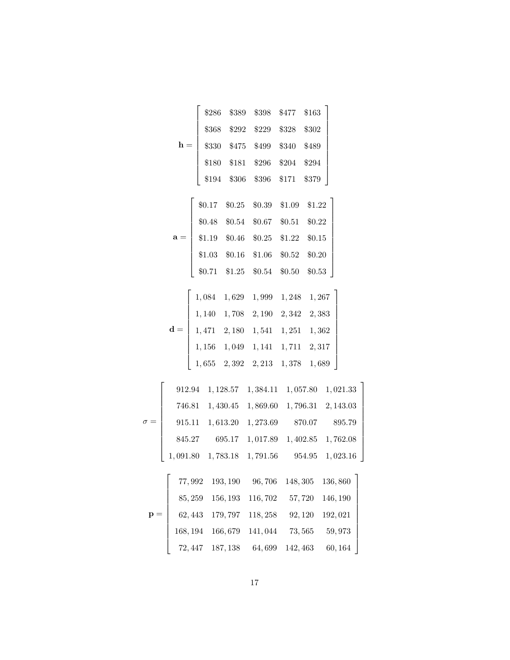|                | \$286  | \$389                           | \$398       | \$477  | \$163  |  |
|----------------|--------|---------------------------------|-------------|--------|--------|--|
|                | \$368  |                                 | \$292 \$229 | \$328  | \$302  |  |
| $h =$          | \$330  |                                 | \$475 \$499 | \$340  | \$489  |  |
|                | \$180  | \$181                           | \$296       | \$204  | \$294  |  |
|                | \$194  | \$306                           | \$396       | \$171  | \$379  |  |
|                |        |                                 |             |        |        |  |
|                | \$0.17 | \$0.25                          | \$0.39      | \$1.09 | \$1.22 |  |
|                | \$0.48 | \$0.54                          | \$0.67      | \$0.51 | \$0.22 |  |
| $a =$          | \$1.19 | \$0.46                          | \$0.25      | \$1.22 | \$0.15 |  |
|                |        | $$1.03$ $$0.16$ $$1.06$ $$0.52$ |             |        | \$0.20 |  |
|                | \$0.71 | \$1.25                          | \$0.54      | \$0.50 | \$0.53 |  |
|                |        |                                 |             |        |        |  |
|                | 1,084  | 1,629                           | 1,999       | 1,248  | 1,267  |  |
|                | 1,140  | 1,708                           | 2,190       | 2,342  | 2,383  |  |
| $\mathbf{d} =$ |        | $1,471 \quad 2,180$             | 1,541       | 1,251  | 1,362  |  |
|                |        |                                 |             |        |        |  |

|  |  | $\mathbf{d} = \left[ \begin{array}{cccc} 1,140 & 1,708 & 2,190 & 2,342 & 2,383 \\ 1,471 & 2,180 & 1,541 & 1,251 & 1,362 \\ 1,156 & 1,049 & 1,141 & 1,711 & 2,317 \\ 1,655 & 2,392 & 2,213 & 1,378 & 1,689 \end{array} \right]$ |  |
|--|--|--------------------------------------------------------------------------------------------------------------------------------------------------------------------------------------------------------------------------------|--|
|  |  |                                                                                                                                                                                                                                |  |
|  |  |                                                                                                                                                                                                                                |  |

1

1

 $\overline{1}$ 

|            |        | 912.94 1, 128.57 1, 384.11 1, 057.80 1, 021.33                        |        |
|------------|--------|-----------------------------------------------------------------------|--------|
|            |        | 746.81  1, 430.45  1, 869.60  1, 796.31  2, 143.03                    |        |
| $\sigma =$ |        | 915.11  1,613.20  1,273.69  870.07                                    | 895.79 |
|            | 845.27 | 695.17 1,017.89 1,402.85 1,762.08                                     |        |
|            |        | $1,091.80 \quad 1,783.18 \quad 1,791.56 \qquad 954.95 \quad 1,023.16$ |        |

|                |                                            |                                  | $77,992\quad 193,190 \quad \  \  96,706 \quad \  148,305 \quad \  136,860$ |         |
|----------------|--------------------------------------------|----------------------------------|----------------------------------------------------------------------------|---------|
|                |                                            |                                  | 85, 259 156, 193 116, 702 57, 720 146, 190                                 |         |
| $\mathbf{p} =$ | 62, 443 179, 797 118, 258 92, 120 192, 021 |                                  |                                                                            |         |
|                |                                            | $168, 194$ $166, 679$ $141, 044$ | 73,565                                                                     | 59,973  |
|                | $72,447$ 187, 138 64, 699                  |                                  | 142, 463                                                                   | 60, 164 |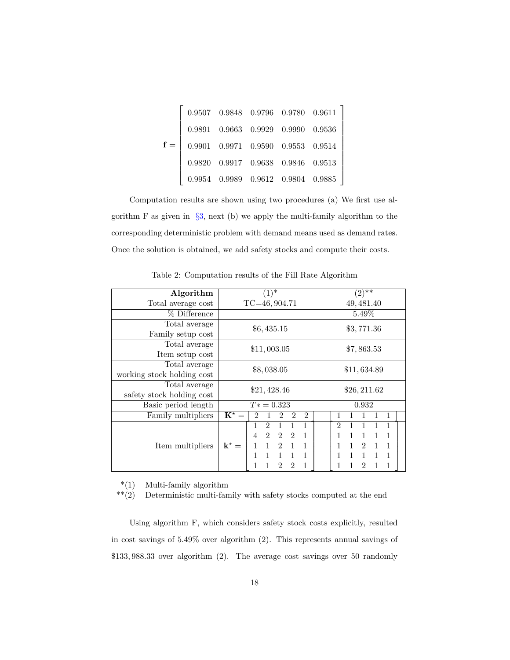|       |  | $0.9507 \quad 0.9848 \quad 0.9796 \quad 0.9780 \quad 0.9611$ |  |
|-------|--|--------------------------------------------------------------|--|
|       |  | $0.9891\quad 0.9663\quad 0.9929\quad 0.9990\quad 0.9536$     |  |
| $f =$ |  | $0.9901$ $0.9971$ $0.9590$ $0.9553$ $0.9514$                 |  |
|       |  | $0.9820$ $0.9917$ $0.9638$ $0.9846$ $0.9513$                 |  |
|       |  | $0.9954 \quad 0.9989 \quad 0.9612 \quad 0.9804 \quad 0.9885$ |  |

Computation results are shown using two procedures (a) We first use algorithm F as given in *§*[3,](#page-9-1) next (b) we apply the multi-family algorithm to the corresponding deterministic problem with demand means used as demand rates. Once the solution is obtained, we add safety stocks and compute their costs.

| Algorithm                  | ∗                                                                   | $(2)^{1}$                                     |  |  |
|----------------------------|---------------------------------------------------------------------|-----------------------------------------------|--|--|
| Total average cost         | $TC=46, 904.71$                                                     | 49, 481.40                                    |  |  |
| % Difference               |                                                                     | 5.49%                                         |  |  |
| Total average              | \$6,435.15                                                          | \$3,771.36                                    |  |  |
| Family setup cost          |                                                                     |                                               |  |  |
| Total average              | \$11,003.05                                                         | \$7,863.53                                    |  |  |
| Item setup cost            |                                                                     |                                               |  |  |
| Total average              | \$8,038.05                                                          |                                               |  |  |
| working stock holding cost |                                                                     | \$11,634.89                                   |  |  |
| Total average              | \$21,428.46                                                         |                                               |  |  |
| safety stock holding cost  |                                                                     | \$26, 211.62                                  |  |  |
| Basic period length        | $T* = 0.323$                                                        | 0.932                                         |  |  |
| Family multipliers         | $K^* =$<br>$\mathfrak{D}$<br>$\mathfrak{D}$<br>2                    | 1                                             |  |  |
|                            | $\overline{2}$<br>1<br>1<br>1                                       | $\mathfrak{D}$<br>$\mathbf{1}$                |  |  |
|                            | $\overline{2}$<br>$\overline{2}$<br>4<br>$\overline{2}$<br>1        | 1<br>1<br>$\mathbf{1}$<br>1                   |  |  |
| Item multipliers           | $k^* =$<br>$\mathbf{1}$<br>1<br>$\overline{2}$<br>$\mathbf{1}$<br>1 | 1<br>1<br>$\mathfrak{D}$<br>1<br>$\mathbf{1}$ |  |  |
|                            | $\mathbf{1}$<br>$\mathbf{1}$<br>$\mathbf{1}$<br>1                   | 1<br>$\mathbf{1}$<br>1<br>1                   |  |  |
|                            | 1<br>2                                                              | 2<br>1                                        |  |  |

Table 2: Computation results of the Fill Rate Algorithm

\*(1) Multi-family algorithm

 $**(2)$  Deterministic multi-family with safety stocks computed at the end

Using algorithm F, which considers safety stock costs explicitly, resulted in cost savings of 5.49% over algorithm (2). This represents annual savings of \$133*,* 988*.*33 over algorithm (2). The average cost savings over 50 randomly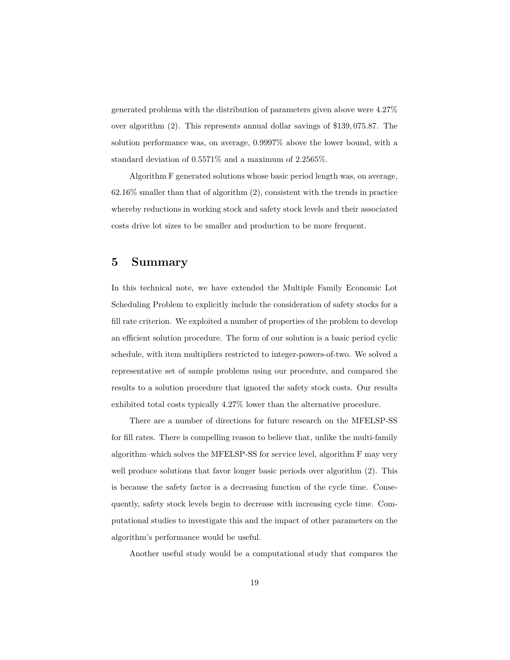generated problems with the distribution of parameters given above were 4.27% over algorithm (2). This represents annual dollar savings of \$139*,* 075*.*87. The solution performance was, on average, 0.9997% above the lower bound, with a standard deviation of 0.5571% and a maximum of 2.2565%.

Algorithm F generated solutions whose basic period length was, on average,  $62.16\%$  smaller than that of algorithm  $(2)$ , consistent with the trends in practice whereby reductions in working stock and safety stock levels and their associated costs drive lot sizes to be smaller and production to be more frequent.

## **5 Summary**

In this technical note, we have extended the Multiple Family Economic Lot Scheduling Problem to explicitly include the consideration of safety stocks for a fill rate criterion. We exploited a number of properties of the problem to develop an efficient solution procedure. The form of our solution is a basic period cyclic schedule, with item multipliers restricted to integer-powers-of-two. We solved a representative set of sample problems using our procedure, and compared the results to a solution procedure that ignored the safety stock costs. Our results exhibited total costs typically 4.27% lower than the alternative procedure.

There are a number of directions for future research on the MFELSP-SS for fill rates. There is compelling reason to believe that, unlike the multi-family algorithm–which solves the MFELSP-SS for service level, algorithm F may very well produce solutions that favor longer basic periods over algorithm  $(2)$ . This is because the safety factor is a decreasing function of the cycle time. Consequently, safety stock levels begin to decrease with increasing cycle time. Computational studies to investigate this and the impact of other parameters on the algorithm's performance would be useful.

Another useful study would be a computational study that compares the